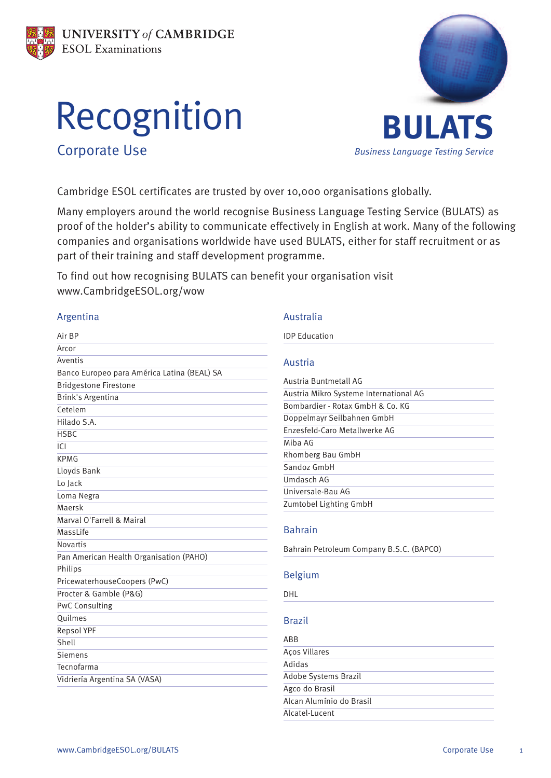

## Recognition Corporate Use





Cambridge ESOL certificates are trusted by over 10,000 organisations globally.

Many employers around the world recognise Business Language Testing Service (BULATS) as proof of the holder's ability to communicate effectively in English at work. Many of the following companies and organisations worldwide have used BULATS, either for staff recruitment or as part of their training and staff development programme.

Australia

To find out how recognising BULATS can benefit your organisation visit www.CambridgeESOL.org/wow

#### Argentina

| Air BP                                      | <b>IDP</b> Education                     |
|---------------------------------------------|------------------------------------------|
| Arcor                                       |                                          |
| Aventis                                     | Austria                                  |
| Banco Europeo para América Latina (BEAL) SA |                                          |
| <b>Bridgestone Firestone</b>                | Austria Buntmetall AG                    |
| Brink's Argentina                           | Austria Mikro Systeme International AG   |
| Cetelem                                     | Bombardier - Rotax GmbH & Co. KG         |
| Hilado S.A.                                 | Doppelmayr Seilbahnen GmbH               |
| <b>HSBC</b>                                 | Enzesfeld-Caro Metallwerke AG            |
| C                                           | Miba AG                                  |
| <b>KPMG</b>                                 | Rhomberg Bau GmbH                        |
| Lloyds Bank                                 | Sandoz GmbH                              |
| Lo Jack                                     | Umdasch AG                               |
| Loma Negra                                  | Universale-Bau AG                        |
| Maersk                                      | Zumtobel Lighting GmbH                   |
| Marval O'Farrell & Mairal                   |                                          |
| MassLife                                    | <b>Bahrain</b>                           |
| Novartis                                    | Bahrain Petroleum Company B.S.C. (BAPCO) |
| Pan American Health Organisation (PAHO)     |                                          |
| Philips                                     |                                          |
| PricewaterhouseCoopers (PwC)                | <b>Belgium</b>                           |
| Procter & Gamble (P&G)                      | DHL                                      |
| <b>PwC Consulting</b>                       |                                          |
| Quilmes                                     | <b>Brazil</b>                            |
| <b>Repsol YPF</b>                           |                                          |
| Shell                                       | ABB                                      |
| Siemens                                     | <b>Aços Villares</b>                     |
| Tecnofarma                                  | Adidas                                   |
| Vidriería Argentina SA (VASA)               | Adobe Systems Brazil                     |
|                                             | Agco do Brasil                           |
|                                             | Alcan Alumínio do Brasil                 |

Alcatel-Lucent

| <b>Brasil</b> |  |  |  |
|---------------|--|--|--|
|               |  |  |  |
|               |  |  |  |
|               |  |  |  |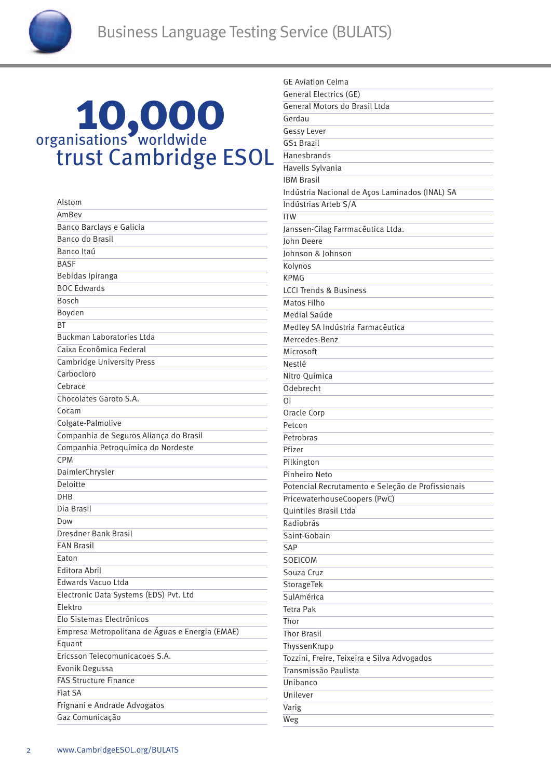

# organisations worldwide trust Cambridge ESOL

| Alstom                                          |
|-------------------------------------------------|
| AmBev                                           |
| Banco Barclays e Galicia                        |
| <b>Banco do Brasil</b>                          |
| Banco Itaú                                      |
| <b>BASF</b>                                     |
| Bebidas Ipiranga                                |
| <b>BOC Edwards</b>                              |
| <b>Bosch</b>                                    |
| Boyden                                          |
| <b>BT</b>                                       |
| Buckman Laboratories Ltda                       |
| Caixa Econômica Federal                         |
| <b>Cambridge University Press</b>               |
| Carbocloro                                      |
| Cebrace                                         |
| Chocolates Garoto S.A.                          |
| Cocam                                           |
| Colgate-Palmolive                               |
| Companhia de Seguros Aliança do Brasil          |
| Companhia Petroquímica do Nordeste              |
| <b>CPM</b>                                      |
| DaimlerChrysler                                 |
| Deloitte                                        |
| <b>DHB</b>                                      |
| Dia Brasil                                      |
| Dow                                             |
| <b>Dresdner Bank Brasil</b>                     |
| <b>EAN Brasil</b>                               |
| Eaton                                           |
| Editora Abril                                   |
| Edwards Vacuo Ltda                              |
| Electronic Data Systems (EDS) Pvt. Ltd          |
| Elektro                                         |
| Elo Sistemas Electrônicos                       |
| Empresa Metropolitana de Águas e Energia (EMAE) |
| Equant                                          |
| Ericsson Telecomunicacoes S.A.                  |
| Evonik Degussa                                  |
| <b>FAS Structure Finance</b>                    |
| <b>Fiat SA</b>                                  |
| Frignani e Andrade Advogatos                    |
| Gaz Comunicação                                 |

| <b>GE Aviation Celma</b>                                    |
|-------------------------------------------------------------|
| General Electrics (GE)                                      |
| General Motors do Brasil Ltda                               |
| Gerdau                                                      |
| Gessy Lever                                                 |
| GS1 Brazil                                                  |
| Hanesbrands                                                 |
| Havells Sylvania                                            |
| <b>IBM Brasil</b>                                           |
| Indústria Nacional de Aços Laminados (INAL) SA              |
| Indústrias Arteb S/A                                        |
| <b>ITW</b>                                                  |
| Janssen-Cilag Farrmacêutica Ltda.                           |
| John Deere                                                  |
| Johnson & Johnson                                           |
| Kolynos                                                     |
| <b>KPMG</b>                                                 |
| <b>LCCI Trends &amp; Business</b>                           |
| Matos Filho                                                 |
| Medial Saúde                                                |
| Medley SA Indústria Farmacêutica                            |
| Mercedes-Benz                                               |
| Microsoft                                                   |
| Nestlé                                                      |
| Nitro Química                                               |
| Odebrecht                                                   |
| 0i                                                          |
| Oracle Corp                                                 |
| Petcon                                                      |
| Petrobras                                                   |
| Pfizer                                                      |
| Pilkington                                                  |
| Pinheiro Neto                                               |
| Potencial Recrutamento e Seleção de Profissionais           |
| PricewaterhouseCoopers (PwC)                                |
| Quintiles Brasil Ltda                                       |
| Radiobrás                                                   |
| Saint-Gobain                                                |
| SAP                                                         |
| SOEICOM                                                     |
| Souza Cruz                                                  |
| StorageTek                                                  |
| SulAmérica                                                  |
| <b>Tetra Pak</b>                                            |
| Thor                                                        |
| <b>Thor Brasil</b>                                          |
|                                                             |
| ThyssenKrupp<br>Tozzini, Freire, Teixeira e Silva Advogados |
| Transmissão Paulista                                        |
| Unibanco                                                    |
| Unilever                                                    |
|                                                             |
|                                                             |
| Varig<br>Weg                                                |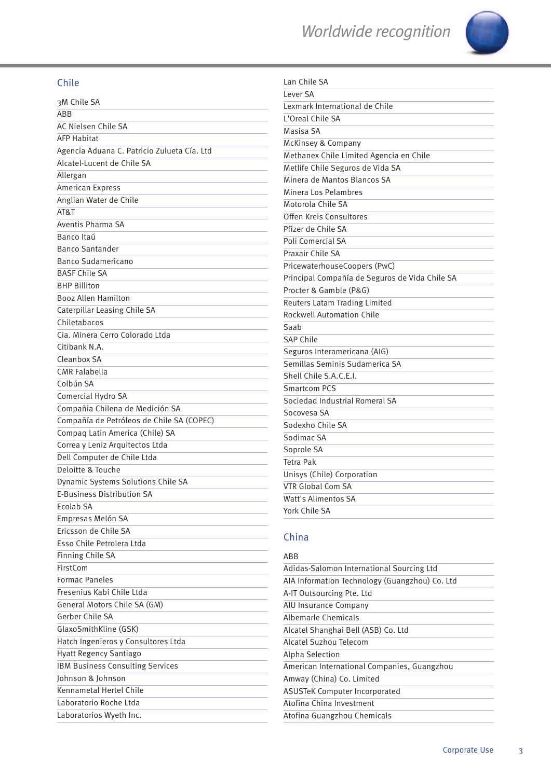### *Worldwide recognition*



#### **Chile**

| 3M Chile SA                                 |
|---------------------------------------------|
| <b>ABB</b>                                  |
| AC Nielsen Chile SA                         |
| <b>AFP Habitat</b>                          |
| Agencia Aduana C. Patricio Zulueta Cía. Ltd |
| Alcatel-Lucent de Chile SA                  |
| Allergan                                    |
| American Express                            |
| Anglian Water de Chile                      |
| AT&T                                        |
| Aventis Pharma SA                           |
| Banco Itaú                                  |
| <b>Banco Santander</b>                      |
| <b>Banco Sudamericano</b>                   |
| <b>BASF Chile SA</b>                        |
| <b>BHP Billiton</b>                         |
| <b>Booz Allen Hamilton</b>                  |
| Caterpillar Leasing Chile SA                |
| Chiletabacos                                |
| Cia. Minera Cerro Colorado Ltda             |
| Citibank N.A.                               |
| Cleanbox SA                                 |
| <b>CMR Falabella</b>                        |
| Colbún SA                                   |
| Comercial Hydro SA                          |
| Compañia Chilena de Medición SA             |
| Compañía de Petróleos de Chile SA (COPEC)   |
| Compaq Latin America (Chile) SA             |
| Correa y Leniz Arquitectos Ltda             |
| Dell Computer de Chile Ltda                 |
| Deloitte & Touche                           |
| Dynamic Systems Solutions Chile SA          |
| <b>E-Business Distribution SA</b>           |
| Ecolab SA                                   |
| Empresas Melón SA                           |
| Ericsson de Chile SA                        |
| Esso Chile Petrolera Ltda                   |
| Finning Chile SA                            |
| <b>FirstCom</b>                             |
| <b>Formac Paneles</b>                       |
| Fresenius Kabi Chile Ltda                   |
| General Motors Chile SA (GM)                |
| Gerber Chile SA                             |
| GlaxoSmithKline (GSK)                       |
| Hatch Ingenieros y Consultores Ltda         |
| Hyatt Regency Santiago                      |
| <b>IBM Business Consulting Services</b>     |
| Johnson & Johnson                           |
| Kennametal Hertel Chile                     |
| Laboratorio Roche Ltda                      |
| Laboratorios Wyeth Inc.                     |
|                                             |

| Lan Chile SA                                   |
|------------------------------------------------|
| Lever <sub>SA</sub>                            |
| Lexmark International de Chile                 |
| L'Oreal Chile SA                               |
| Masisa SA                                      |
| McKinsey & Company                             |
| Methanex Chile Limited Agencia en Chile        |
| Metlife Chile Seguros de Vida SA               |
| Minera de Mantos Blancos SA                    |
| Minera Los Pelambres                           |
| Motorola Chile SA                              |
| Offen Kreis Consultores                        |
| Pfizer de Chile SA                             |
| Poli Comercial SA                              |
| Praxair Chile SA                               |
| PricewaterhouseCoopers (PwC)                   |
| Principal Compañía de Seguros de Vida Chile SA |
| Procter & Gamble (P&G)                         |
| Reuters Latam Trading Limited                  |
| <b>Rockwell Automation Chile</b>               |
| Saab                                           |
| SAP Chile                                      |
| Seguros Interamericana (AIG)                   |
| Semillas Seminis Sudamerica SA                 |
| Shell Chile S.A.C.F.L.                         |
| Smartcom PCS                                   |
| Sociedad Industrial Romeral SA                 |
| Socovesa SA                                    |
| Sodexho Chile SA                               |
| Sodimac SA                                     |
| Soprole SA                                     |
| <b>Tetra Pak</b>                               |
| Unisys (Chile) Corporation                     |
| <b>VTR Global Com SA</b>                       |
| Watt's Alimentos SA                            |
| York Chile SA                                  |

#### China

#### A B B Adidas-Salomon International Sourcing Ltd AIA Information Technology (Guangzhou) Co. Ltd A-IT Outsourcing Pte. Ltd AIU Insurance Company Albemarle Chemicals Alcatel Shanghai Bell (ASB) Co. Ltd Alcatel Suzhou Telecom Alpha Selection American International Companies, Guangzhou Amway (China) Co. Limited ASUSTeK Computer Incorporated Atofina China Investment Atofina Guangzhou Chemicals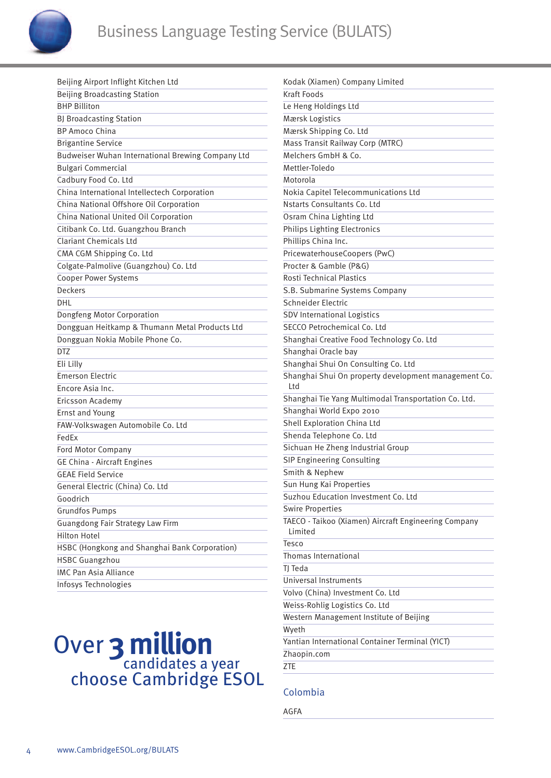

| Beijing Airport Inflight Kitchen Ltd              | Kodak (Xiamen) Company Limited                       |  |
|---------------------------------------------------|------------------------------------------------------|--|
| <b>Beijing Broadcasting Station</b>               | <b>Kraft Foods</b>                                   |  |
| <b>BHP Billiton</b>                               | Le Heng Holdings Ltd                                 |  |
| <b>BJ Broadcasting Station</b>                    | Mærsk Logistics                                      |  |
| <b>BP Amoco China</b>                             | Mærsk Shipping Co. Ltd                               |  |
| <b>Brigantine Service</b>                         | Mass Transit Railway Corp (MTRC)                     |  |
| Budweiser Wuhan International Brewing Company Ltd | Melchers GmbH & Co.                                  |  |
| <b>Bulgari Commercial</b>                         | Mettler-Toledo                                       |  |
| Cadbury Food Co. Ltd                              | Motorola                                             |  |
| China International Intellectech Corporation      | Nokia Capitel Telecommunications Ltd                 |  |
| China National Offshore Oil Corporation           | Nstarts Consultants Co. Ltd                          |  |
| China National United Oil Corporation             | Osram China Lighting Ltd                             |  |
| Citibank Co. Ltd. Guangzhou Branch                | Philips Lighting Electronics                         |  |
| <b>Clariant Chemicals Ltd</b>                     | Phillips China Inc.                                  |  |
| CMA CGM Shipping Co. Ltd                          | PricewaterhouseCoopers (PwC)                         |  |
| Colgate-Palmolive (Guangzhou) Co. Ltd             | Procter & Gamble (P&G)                               |  |
| <b>Cooper Power Systems</b>                       | Rosti Technical Plastics                             |  |
| Deckers                                           | S.B. Submarine Systems Company                       |  |
| DHL                                               | Schneider Electric                                   |  |
| Dongfeng Motor Corporation                        | SDV International Logistics                          |  |
| Dongguan Heitkamp & Thumann Metal Products Ltd    | SECCO Petrochemical Co. Ltd                          |  |
| Dongguan Nokia Mobile Phone Co.                   | Shanghai Creative Food Technology Co. Ltd            |  |
| <b>DTZ</b>                                        | Shanghai Oracle bay                                  |  |
| Eli Lilly                                         | Shanghai Shui On Consulting Co. Ltd                  |  |
| <b>Emerson Electric</b>                           | Shanghai Shui On property development management Co. |  |
| Encore Asia Inc.                                  | Ltd                                                  |  |
| Ericsson Academy                                  | Shanghai Tie Yang Multimodal Transportation Co. Ltd. |  |
| <b>Ernst and Young</b>                            | Shanghai World Expo 2010                             |  |
| FAW-Volkswagen Automobile Co. Ltd                 | Shell Exploration China Ltd                          |  |
| FedEx                                             | Shenda Telephone Co. Ltd                             |  |
| Ford Motor Company                                | Sichuan He Zheng Industrial Group                    |  |
| <b>GE China - Aircraft Engines</b>                | SIP Engineering Consulting                           |  |
| <b>GEAE Field Service</b>                         | Smith & Nephew                                       |  |
| General Electric (China) Co. Ltd                  | Sun Hung Kai Properties                              |  |
| Goodrich                                          | Suzhou Education Investment Co. Ltd                  |  |
| <b>Grundfos Pumps</b>                             | <b>Swire Properties</b>                              |  |
| Guangdong Fair Strategy Law Firm                  | TAECO - Taikoo (Xiamen) Aircraft Engineering Company |  |
| Hilton Hotel                                      | Limited                                              |  |
| HSBC (Hongkong and Shanghai Bank Corporation)     | Tesco                                                |  |
| <b>HSBC Guangzhou</b>                             | Thomas International                                 |  |
| IMC Pan Asia Alliance                             | TJ Teda                                              |  |
| Infosys Technologies                              | Universal Instruments                                |  |
|                                                   | Volvo (China) Investment Co. Ltd                     |  |
|                                                   | Weiss-Rohlig Logistics Co. Ltd                       |  |

Western Management Institute of Beijing

Yantian International Container Terminal (YICT)

Wyeth

**ZTE** 

AGFA

Zhaopin.com

Colombia

## Over **3million** candidates a year choose Cambridge ESOL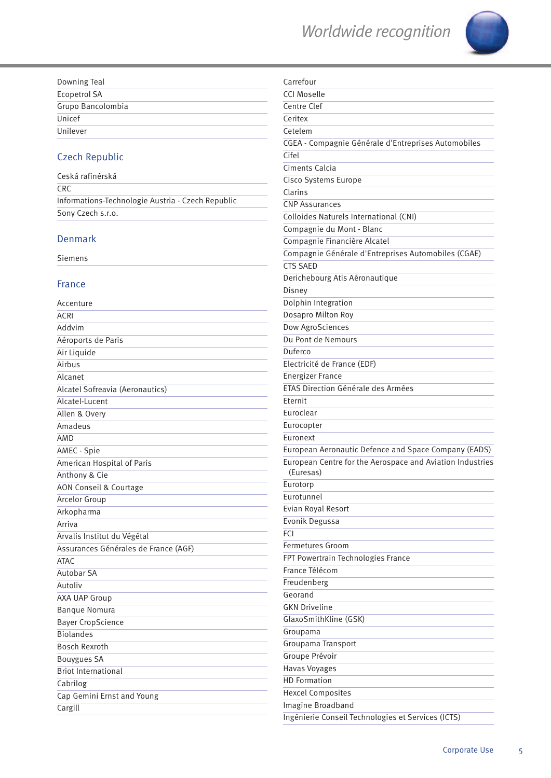| Worldwide recognition |
|-----------------------|
|-----------------------|



#### Czech Republic

| Ceská rafinérská                                  |  |
|---------------------------------------------------|--|
| CRC.                                              |  |
| Informations-Technologie Austria - Czech Republic |  |
| Sony Czech s.r.o.                                 |  |

#### Denmark

Siemens

#### France

| Accenture                            | Dolph                       |
|--------------------------------------|-----------------------------|
| <b>ACRI</b>                          | Dosa                        |
| Addvim                               | Dow A                       |
| Aéroports de Paris                   | Du Po                       |
| Air Liquide                          | Dufer                       |
| Airbus                               | Electr                      |
| Alcanet                              | Energ                       |
| Alcatel Sofreavia (Aeronautics)      | <b>ETAS</b>                 |
| Alcatel-Lucent                       | Eterni                      |
| Allen & Overy                        | Euroc                       |
| Amadeus                              | Euroc                       |
| AMD                                  | Euron                       |
| AMEC - Spie                          | Europ                       |
| American Hospital of Paris           | Europ                       |
| Anthony & Cie                        | (Eur                        |
| <b>AON Conseil &amp; Courtage</b>    | Eurot                       |
| Arcelor Group                        | Eurot                       |
| Arkopharma                           | Evian                       |
| Arriva                               | Evoni                       |
| Arvalis Institut du Végétal          | <b>FCI</b>                  |
| Assurances Générales de France (AGF) | Ferme                       |
| <b>ATAC</b>                          | FPT <sub>P</sub>            |
| <b>Autobar SA</b>                    | Franc                       |
| Autoliv                              | Freud                       |
| AXA UAP Group                        | Geora                       |
| <b>Banque Nomura</b>                 | GKN [                       |
| <b>Bayer CropScience</b>             | Glaxo                       |
| <b>Biolandes</b>                     | Group                       |
| <b>Bosch Rexroth</b>                 | Group                       |
| <b>Bouygues SA</b>                   | Group                       |
| <b>Briot International</b>           | Havas                       |
| Cabrilog                             | HD Fo                       |
| Cap Gemini Ernst and Young           | Hexce                       |
| Cargill                              | Imagi<br>$Im\sim\lesssim10$ |
|                                      |                             |

| Carrefour                                                              |
|------------------------------------------------------------------------|
| CCI Moselle                                                            |
| Centre Clef                                                            |
| Ceritex                                                                |
| Cetelem                                                                |
| CGEA - Compagnie Générale d'Entreprises Automobiles                    |
| Cifel                                                                  |
| Ciments Calcia                                                         |
| Cisco Systems Europe                                                   |
| Clarins                                                                |
| <b>CNP Assurances</b>                                                  |
| Colloides Naturels International (CNI)                                 |
| Compagnie du Mont - Blanc                                              |
| Compagnie Financière Alcatel                                           |
| Compagnie Générale d'Entreprises Automobiles (CGAE)                    |
| <b>CTS SAED</b>                                                        |
| Derichebourg Atis Aéronautique                                         |
| Disney                                                                 |
| Dolphin Integration                                                    |
| Dosapro Milton Roy                                                     |
| Dow AgroSciences                                                       |
| Du Pont de Nemours                                                     |
| Duferco                                                                |
| Electricité de France (EDF)                                            |
| <b>Energizer France</b>                                                |
| ETAS Direction Générale des Armées                                     |
| Eternit                                                                |
| Euroclear                                                              |
| Eurocopter                                                             |
| Euronext                                                               |
| European Aeronautic Defence and Space Company (EADS)                   |
| European Centre for the Aerospace and Aviation Industries<br>(Euresas) |
| Eurotorp                                                               |
| Eurotunnel                                                             |
| <b>Evian Royal Resort</b>                                              |
| Evonik Degussa                                                         |
| FCI                                                                    |
| Fermetures Groom                                                       |
| FPT Powertrain Technologies France                                     |
| France Télécom                                                         |
| Freudenberg                                                            |
| Georand                                                                |
| <b>GKN Driveline</b>                                                   |
| GlaxoSmithKline (GSK)                                                  |
| Groupama                                                               |
| Groupama Transport                                                     |
| Groupe Prévoir                                                         |
| Havas Voyages                                                          |
| <b>HD</b> Formation                                                    |
| <b>Hexcel Composites</b>                                               |
| Imagine Broadband                                                      |
|                                                                        |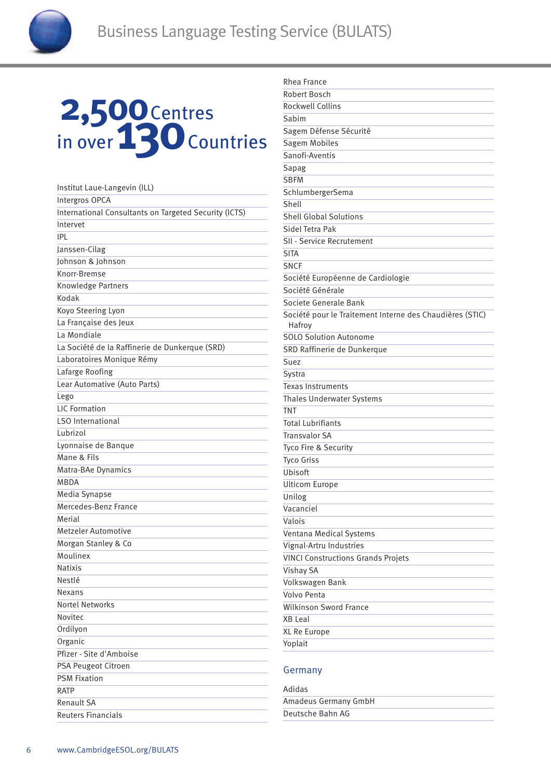

## **130**Countries **2,500**Centres in over

| Institut Laue-Langevin (ILL)                          |
|-------------------------------------------------------|
| Intergros OPCA                                        |
| International Consultants on Targeted Security (ICTS) |
| Intervet                                              |
| IPI                                                   |
| Janssen-Cilag                                         |
| Johnson & Johnson                                     |
| Knorr-Bremse                                          |
| Knowledge Partners                                    |
| Kodak                                                 |
| Koyo Steering Lyon                                    |
| La Française des Jeux                                 |
| La Mondiale                                           |
| La Société de la Raffinerie de Dunkerque (SRD)        |
| Laboratoires Monique Rémy                             |
| Lafarge Roofing                                       |
| Lear Automative (Auto Parts)                          |
| Lego                                                  |
| <b>LIC</b> Formation                                  |
| <b>LSO</b> International                              |
| Lubrizol                                              |
| Lyonnaise de Banque                                   |
| Mane & Fils                                           |
| Matra-BAe Dynamics                                    |
| <b>MBDA</b>                                           |
| Media Synapse                                         |
| Mercedes-Benz France                                  |
| Merial                                                |
| Metzeler Automotive                                   |
| Morgan Stanley & Co                                   |
| Moulinex                                              |
| <b>Natixis</b>                                        |
| Nestlé                                                |
| <b>Nexans</b>                                         |
| <b>Nortel Networks</b>                                |
| Novitec                                               |
| Ordilyon                                              |
| Organic                                               |
| Pfizer - Site d'Amboise                               |
| PSA Peugeot Citroen                                   |
| <b>PSM Fixation</b>                                   |
| <b>RATP</b>                                           |
| <b>Renault SA</b>                                     |
| <b>Reuters Financials</b>                             |
|                                                       |

| Rhea France                                              |
|----------------------------------------------------------|
| Robert Bosch                                             |
| Rockwell Collins                                         |
| Sabim                                                    |
| Sagem Défense Sécurité                                   |
| Sagem Mobiles                                            |
| Sanofi-Aventis                                           |
| Sapag                                                    |
| <b>SBFM</b>                                              |
| SchlumbergerSema                                         |
| Shell                                                    |
| <b>Shell Global Solutions</b>                            |
| Sidel Tetra Pak                                          |
| SII - Service Recrutement                                |
| <b>SITA</b>                                              |
| <b>SNCF</b>                                              |
| Société Européenne de Cardiologie                        |
| Société Générale                                         |
| Societe Generale Bank                                    |
| Société pour le Traitement Interne des Chaudières (STIC) |
| Hafrov                                                   |
| SOLO Solution Autonome                                   |
| SRD Raffinerie de Dunkerque                              |
| Suez                                                     |
| Systra                                                   |
| Texas Instruments                                        |
| Thales Underwater Systems                                |
| <b>TNT</b>                                               |
| <b>Total Lubrifiants</b>                                 |
| <b>Transvalor SA</b>                                     |
| Tyco Fire & Security                                     |
| <b>Tyco Griss</b>                                        |
| Ubisoft                                                  |
| <b>Ulticom Europe</b>                                    |
| Unilog                                                   |
| Vacanciel                                                |
| Valois                                                   |
| Ventana Medical Systems                                  |
| Vignal-Artru Industries                                  |
| <b>VINCI Constructions Grands Projets</b>                |
| <b>Vishay SA</b>                                         |
| Volkswagen Bank                                          |
| Volvo Penta                                              |
| <b>Wilkinson Sword France</b>                            |
| <b>XB Leal</b>                                           |
| XL Re Europe                                             |
| Yoplait                                                  |
|                                                          |

#### Germany

| Adidas               |  |
|----------------------|--|
| Amadeus Germany GmbH |  |
| Deutsche Bahn AG     |  |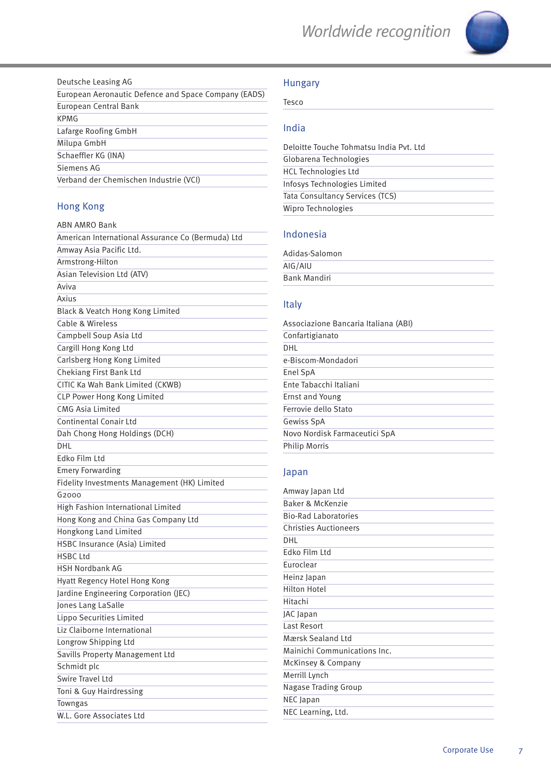## *Worldwide recognition*



Deutsche Leasing AG European Aeronautic Defence and Space Company (EADS) European Central Bank KPMG Lafarge Roofing GmbH Milupa GmbH Schaeffler KG (INA) Siemens AG Verband der Chemischen Industrie (VCI)

#### Hong Kong

| ABN AMRO Bank                                     |
|---------------------------------------------------|
| American International Assurance Co (Bermuda) Ltd |
| Amway Asia Pacific Ltd.                           |
| Armstrong-Hilton                                  |
| Asian Television Ltd (ATV)                        |
| Aviva                                             |
| Axius                                             |
| Black & Veatch Hong Kong Limited                  |
| Cable & Wireless                                  |
| Campbell Soup Asia Ltd                            |
| Cargill Hong Kong Ltd                             |
| Carlsberg Hong Kong Limited                       |
| Chekiang First Bank Ltd                           |
| CITIC Ka Wah Bank Limited (CKWB)                  |
| CLP Power Hong Kong Limited                       |
| <b>CMG Asia Limited</b>                           |
| Continental Conair I td                           |
| Dah Chong Hong Holdings (DCH)                     |
| DHL                                               |
| Edko Film Ltd                                     |
| <b>Emery Forwarding</b>                           |
| Fidelity Investments Management (HK) Limited      |
| G2000                                             |
| High Fashion International Limited                |
| Hong Kong and China Gas Company Ltd               |
| Hongkong Land Limited                             |
| HSBC Insurance (Asia) Limited                     |
| <b>HSBC Ltd</b>                                   |
| <b>HSH Nordbank AG</b>                            |
| Hyatt Regency Hotel Hong Kong                     |
| Jardine Engineering Corporation (JEC)             |
| Jones Lang LaSalle                                |
| Lippo Securities Limited                          |
| Liz Claiborne International                       |
| Longrow Shipping Ltd                              |
| Savills Property Management Ltd                   |
| Schmidt plc                                       |
| Swire Travel Ltd                                  |
| Toni & Guy Hairdressing                           |
| Towngas                                           |
| W.L. Gore Associates Ltd                          |

#### Hungary

Tesco

#### India

| Globarena Technologies          |
|---------------------------------|
| <b>HCL Technologies Ltd</b>     |
| Infosys Technologies Limited    |
| Tata Consultancy Services (TCS) |
| Wipro Technologies              |

#### Indonesia

| Adidas-Salomon |  |
|----------------|--|
| AIG/AIU        |  |
| Bank Mandiri   |  |

#### Italy

| Associazione Bancaria Italiana (ABI) |
|--------------------------------------|
| Confartigianato                      |
| DHI                                  |
| e-Biscom-Mondadori                   |
| Enel SpA                             |
| Ente Tabacchi Italiani               |
| Ernst and Young                      |
| Ferrovie dello Stato                 |
| Gewiss SpA                           |
| Novo Nordisk Farmaceutici SpA        |
| <b>Philip Morris</b>                 |

#### Japan

| Amway Japan Ltd              |
|------------------------------|
| Baker & McKenzie             |
| <b>Bio-Rad Laboratories</b>  |
| <b>Christies Auctioneers</b> |
| DHL                          |
| Edko Film Ltd                |
| Euroclear                    |
| Heinz Japan                  |
| Hilton Hotel                 |
| Hitachi                      |
| JAC Japan                    |
| <b>Last Resort</b>           |
| Mærsk Sealand Ltd            |
| Mainichi Communications Inc. |
| McKinsey & Company           |
| Merrill Lynch                |
| Nagase Trading Group         |
| NEC Japan                    |
| NEC Learning, Ltd.           |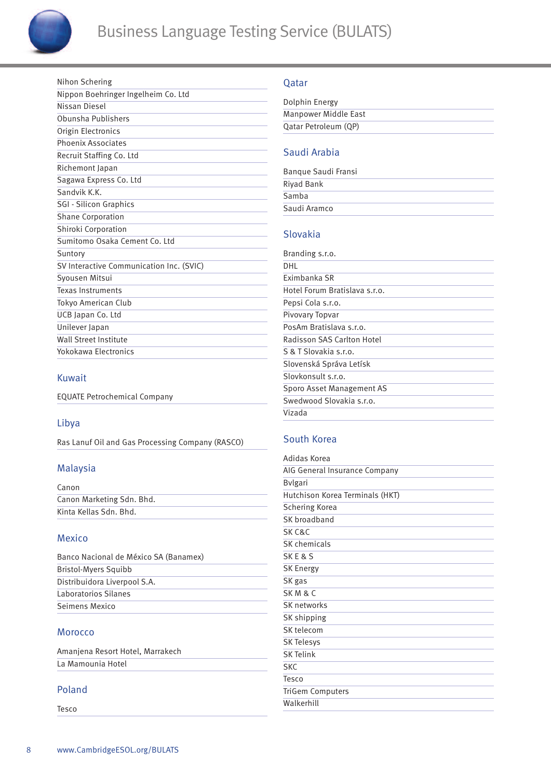

## Business Language Testing Service (BULATS)

#### Kuwait

EQUATE Petrochemical Company

#### Libya

Ras Lanuf Oil and Gas Processing Company (RASCO)

#### Malaysia

| Canon                     |
|---------------------------|
| Canon Marketing Sdn. Bhd. |
| Kinta Kellas Sdn. Bhd.    |

#### Mexico

| Banco Nacional de México SA (Banamex) |
|---------------------------------------|
| Bristol-Myers Squibb                  |
| Distribuidora Liverpool S.A.          |
| Laboratorios Silanes                  |
| Seimens Mexico                        |

#### Morocco

Amanjena Resort Hotel, Marrakech La Mamounia Hotel

#### Poland

Tesco

#### Qatar

| Dolphin Energy       |
|----------------------|
| Manpower Middle East |
| Qatar Petroleum (QP) |

#### Saudi Arabia

#### Slovakia

| Branding s.r.o.               |
|-------------------------------|
| DHI                           |
| Eximbanka SR                  |
| Hotel Forum Bratislava s.r.o. |
| Pepsi Cola s.r.o.             |
| Pivovary Topvar               |
| PosAm Bratislava s.r.o.       |
| Radisson SAS Carlton Hotel    |
| S & T Slovakia s.r.o.         |
| Slovenská Správa Letísk       |
| Slovkonsult s.r.o.            |
| Sporo Asset Management AS     |
| Swedwood Slovakia s.r.o.      |
| Vizada                        |

#### South Korea

| Adidas Korea                    |
|---------------------------------|
| AIG General Insurance Company   |
| Bylgari                         |
| Hutchison Korea Terminals (HKT) |
| Schering Korea                  |
| SK broadband                    |
| <b>SK C&amp;C</b>               |
| SK chemicals                    |
| SKE&S                           |
| <b>SK Energy</b>                |
| SK gas                          |
| SKM&C                           |
| SK networks                     |
| SK shipping                     |
| SK telecom                      |
| SK Telesys                      |
| <b>SK Telink</b>                |
| <b>SKC</b>                      |
| Tesco                           |
| <b>TriGem Computers</b>         |
| Walkerhill                      |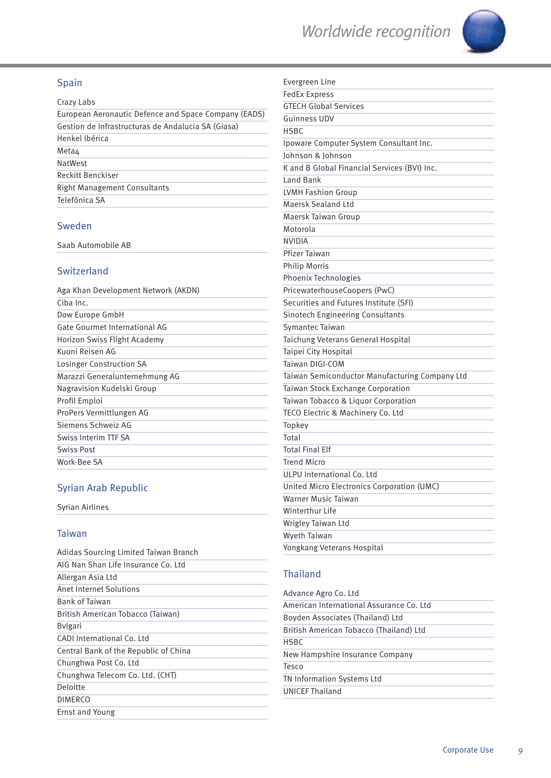## *Worldwide recognition*



#### Spain

| Crazy Labs                                           |
|------------------------------------------------------|
| European Aeronautic Defence and Space Company (EADS) |
| Gestion de Infrastructuras de Andalucia SA (Giasa)   |
| Henkel Ibérica                                       |
| Meta4                                                |
| NatWest                                              |
| Reckitt Benckiser                                    |
| <b>Right Management Consultants</b>                  |
| Telefónica SA                                        |
|                                                      |

#### Sweden

Saab Automobile AB

#### **Switzerland**

| Aga Khan Development Network (AKDN) |
|-------------------------------------|
| Ciba Inc.                           |
| Dow Europe GmbH                     |
| Gate Gourmet International AG       |
| Horizon Swiss Flight Academy        |
| Kuoni Reisen AG                     |
| Losinger Construction SA            |
| Marazzi Generalunternehmung AG      |
| Nagravision Kudelski Group          |
| Profil Emploi                       |
| ProPers Vermittlungen AG            |
| Siemens Schweiz AG                  |
| Swiss Interim TTF SA                |
| Swiss Post                          |
| Work-Bee SA                         |
|                                     |

#### Syrian Arab Republic

Syrian Airlines

#### Taiwan

| Adidas Sourcing Limited Taiwan Branch |
|---------------------------------------|
| AIG Nan Shan Life Insurance Co. Ltd   |
| Allergan Asia Ltd                     |
| <b>Anet Internet Solutions</b>        |
| <b>Bank of Taiwan</b>                 |
| British American Tobacco (Taiwan)     |
| <b>Bylgari</b>                        |
| CADI International Co. Ltd            |
| Central Bank of the Republic of China |
| Chunghwa Post Co. Ltd                 |
| Chunghwa Telecom Co. Ltd. (CHT)       |
| Deloitte                              |
| <b>DIMERCO</b>                        |
| Ernst and Young                       |

| Evergreen Line                                 |  |  |
|------------------------------------------------|--|--|
| <b>FedEx Express</b>                           |  |  |
| <b>GTECH Global Services</b>                   |  |  |
| Guinness UDV                                   |  |  |
| <b>HSBC</b>                                    |  |  |
| Ipoware Computer System Consultant Inc.        |  |  |
| Johnson & Johnson                              |  |  |
| K and B Global Financial Services (BVI) Inc.   |  |  |
| Land Bank                                      |  |  |
| <b>LVMH Fashion Group</b>                      |  |  |
| Maersk Sealand Ltd                             |  |  |
| Maersk Taiwan Group                            |  |  |
| Motorola                                       |  |  |
| <b>NVIDIA</b>                                  |  |  |
| Pfizer Taiwan                                  |  |  |
| <b>Philip Morris</b>                           |  |  |
| Phoenix Technologies                           |  |  |
| PricewaterhouseCoopers (PwC)                   |  |  |
| Securities and Futures Institute (SFI)         |  |  |
| Sinotech Engineering Consultants               |  |  |
| Symantec Taiwan                                |  |  |
| Taichung Veterans General Hospital             |  |  |
| Taipei City Hospital                           |  |  |
| Taiwan DIGI-COM                                |  |  |
| Taiwan Semiconductor Manufacturing Company Ltd |  |  |
| Taiwan Stock Exchange Corporation              |  |  |
| Taiwan Tobacco & Liquor Corporation            |  |  |
| TECO Electric & Machinery Co. Ltd              |  |  |
| Topkey                                         |  |  |
| Total                                          |  |  |
| <b>Total Final Elf</b>                         |  |  |
| <b>Trend Micro</b>                             |  |  |
| ULPU International Co. Ltd                     |  |  |
| United Micro Electronics Corporation (UMC)     |  |  |
| Warner Music Taiwan                            |  |  |
| <b>Winterthur Life</b>                         |  |  |
| Wrigley Taiwan Ltd                             |  |  |
| Wyeth Taiwan                                   |  |  |
| Yongkang Veterans Hospital                     |  |  |

#### Thailand

| Advance Agro Co. Ltd                     |
|------------------------------------------|
| American International Assurance Co. Ltd |
| Boyden Associates (Thailand) Ltd         |
| British American Tobacco (Thailand) Ltd  |
| <b>HSBC</b>                              |
| New Hampshire Insurance Company          |
| Tesco                                    |
| <b>TN Information Systems Ltd</b>        |
| <b>UNICEF Thailand</b>                   |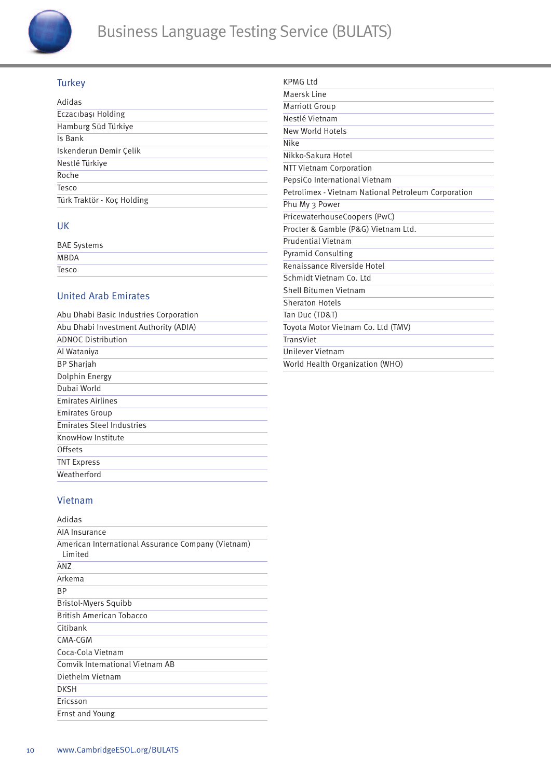

#### **Turkey**

| <b>Turkey</b>                           | <b>KPMG Ltd</b>                                                           |  |
|-----------------------------------------|---------------------------------------------------------------------------|--|
| Adidas                                  | Maersk Line                                                               |  |
|                                         | <b>Marriott Group</b>                                                     |  |
| Eczacıbaşı Holding                      | Nestlé Vietnam                                                            |  |
| Hamburg Süd Türkiye                     | New World Hotels<br>Nike<br>Nikko-Sakura Hotel<br>NTT Vietnam Corporation |  |
| Is Bank                                 |                                                                           |  |
| Iskenderun Demir Çelik                  |                                                                           |  |
| Nestlé Türkiye                          |                                                                           |  |
| Roche                                   | PepsiCo International Vietnam                                             |  |
| Tesco                                   | Petrolimex - Vietnam National Petroleum Corporation                       |  |
| Türk Traktör - Koç Holding<br><b>UK</b> |                                                                           |  |
|                                         | Phu My 3 Power                                                            |  |
|                                         | PricewaterhouseCoopers (PwC)                                              |  |
|                                         | Procter & Gamble (P&G) Vietnam Ltd.                                       |  |

| <b>BAE Systems</b> |              |
|--------------------|--------------|
| <b>MBDA</b>        | n.           |
| Tesco              | R٤<br>$\sim$ |

#### United Arab Emirates

| Abu Dhabi Basic Industries Corporation |
|----------------------------------------|
| Abu Dhabi Investment Authority (ADIA)  |
| <b>ADNOC Distribution</b>              |
| Al Wataniya                            |
| <b>BP Shariah</b>                      |
| Dolphin Energy                         |
| Dubai World                            |
| <b>Emirates Airlines</b>               |
| <b>Emirates Group</b>                  |
| <b>Emirates Steel Industries</b>       |
| KnowHow Institute                      |
| Offsets                                |
| <b>TNT Express</b>                     |
| Weatherford                            |

#### Vietnam

| Adidas                                                        |
|---------------------------------------------------------------|
| AIA Insurance                                                 |
| American International Assurance Company (Vietnam)<br>Limited |
| ANZ                                                           |
| Arkema                                                        |
| <b>BP</b>                                                     |
| Bristol-Myers Squibb                                          |
| <b>British American Tobacco</b>                               |
| Citibank                                                      |
| CMA-CGM                                                       |
| Coca-Cola Vietnam                                             |
| Comvik International Vietnam AB                               |
| Diethelm Vietnam                                              |
| <b>DKSH</b>                                                   |
| Ericsson                                                      |
| Ernst and Young                                               |

| Nike                                                |  |
|-----------------------------------------------------|--|
| Nikko-Sakura Hotel                                  |  |
| NTT Vietnam Corporation                             |  |
| PepsiCo International Vietnam                       |  |
| Petrolimex - Vietnam National Petroleum Corporation |  |
| Phu My 3 Power                                      |  |
| PricewaterhouseCoopers (PwC)                        |  |
| Procter & Gamble (P&G) Vietnam Ltd.                 |  |
| Prudential Vietnam                                  |  |
| <b>Pyramid Consulting</b>                           |  |
| Renaissance Riverside Hotel                         |  |
| Schmidt Vietnam Co. Ltd                             |  |
| Shell Bitumen Vietnam                               |  |
| <b>Sheraton Hotels</b>                              |  |
| Tan Duc (TD&T)                                      |  |
| Toyota Motor Vietnam Co. Ltd (TMV)                  |  |
| TransViet                                           |  |
| Unilever Vietnam                                    |  |
|                                                     |  |

World Health Organization (WHO)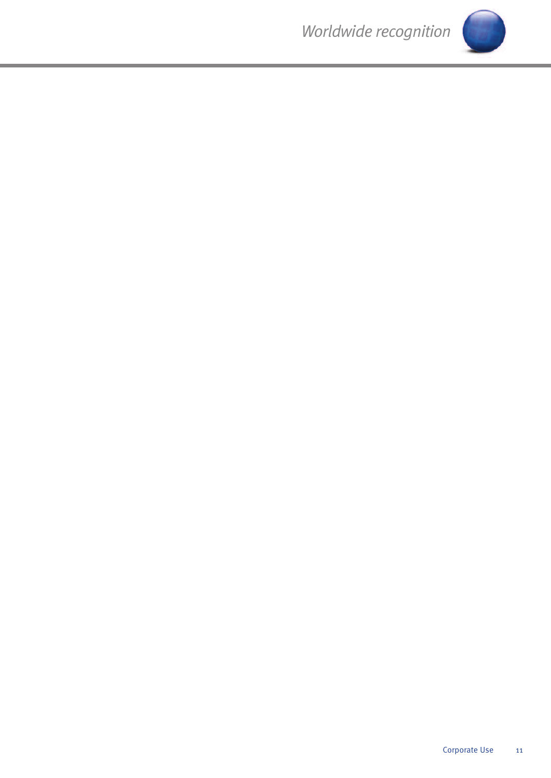